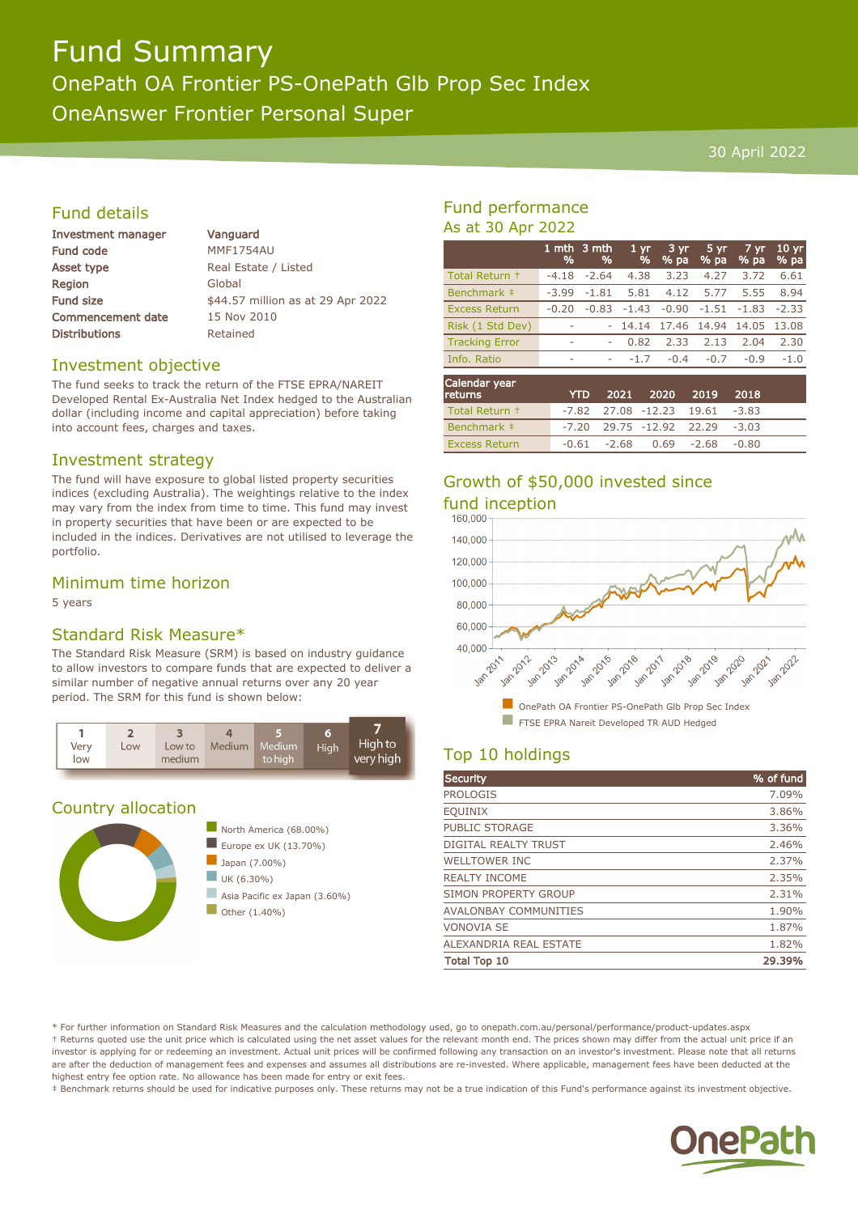# Fund Summary OnePath OA Frontier PS-OnePath Glb Prop Sec Index OneAnswer Frontier Personal Super

#### 30 April 2022

## Fund details

| Investment manager       |
|--------------------------|
| <b>Fund code</b>         |
| <b>Asset type</b>        |
| Region                   |
| <b>Fund size</b>         |
| <b>Commencement date</b> |
| <b>Distributions</b>     |

Vanguard MMF1754AU Real Estate / Listed Global \$44.57 million as at 29 Apr 2022 15 Nov 2010 Retained

#### Investment objective

The fund seeks to track the return of the FTSE EPRA/NAREIT Developed Rental Ex-Australia Net Index hedged to the Australian dollar (including income and capital appreciation) before taking into account fees, charges and taxes.

#### Investment strategy

The fund will have exposure to global listed property securities indices (excluding Australia). The weightings relative to the index may vary from the index from time to time. This fund may invest in property securities that have been or are expected to be included in the indices. Derivatives are not utilised to leverage the portfolio.

### Minimum time horizon

5 years

#### Standard Risk Measure\*

The Standard Risk Measure (SRM) is based on industry guidance to allow investors to compare funds that are expected to deliver a similar number of negative annual returns over any 20 year period. The SRM for this fund is shown below:



#### Country allocation



# Fund performance As at 30 Apr 2022

|                       | %       | 1 mth 3 mth<br>% | 1 <sub>yr</sub><br>% | 3 yr<br>% pa | 5 yr<br>% pa | 7 yr<br>% pa | 10 <sub>yr</sub><br>% pa |
|-----------------------|---------|------------------|----------------------|--------------|--------------|--------------|--------------------------|
| Total Return +        | $-4.18$ | $-2.64$          | 4.38                 | 3.23         | 4.27         | 3.72         | 6.61                     |
| Benchmark ‡           | $-3.99$ | $-1.81$          | 5.81                 | 4.12         | 5.77         | 5.55         | 8.94                     |
| <b>Excess Return</b>  | $-0.20$ | $-0.83$          | $-1.43$              | $-0.90$      | $-1.51$      | $-1.83$      | $-2.33$                  |
| Risk (1 Std Dev)      |         |                  | 14.14                | 17.46 14.94  |              | 14.05        | 13.08                    |
| <b>Tracking Error</b> | ۰       | ۰                | 0.82                 | 2.33         | 2.13         | 2.04         | 2.30                     |
| Info. Ratio           | ۰       | ۰                | $-1.7$               | $-0.4$       | $-0.7$       | $-0.9$       | $-1.0$                   |
| Calendar year         |         |                  |                      |              |              |              |                          |

| <b>returns</b>       |  | YTD 2021 2020 2019 2018                  |  |  |
|----------------------|--|------------------------------------------|--|--|
| Total Return +       |  | $-7.82$ $27.08$ $-12.23$ $19.61$ $-3.83$ |  |  |
| Benchmark ‡          |  | $-7.20$ 29.75 $-12.92$ 22.29 $-3.03$     |  |  |
| <b>Excess Return</b> |  | $-0.61$ $-2.68$ $0.69$ $-2.68$ $-0.80$   |  |  |

# Growth of \$50,000 invested since fund inception



# Top 10 holdings

| <b>Security</b>              | % of fund |
|------------------------------|-----------|
| <b>PROLOGIS</b>              | 7.09%     |
| <b>EQUINIX</b>               | 3.86%     |
| <b>PUBLIC STORAGE</b>        | 3.36%     |
| <b>DIGITAL REALTY TRUST</b>  | 2.46%     |
| <b>WELLTOWER INC</b>         | 2.37%     |
| <b>REALTY INCOME</b>         | 2.35%     |
| SIMON PROPERTY GROUP         | 2.31%     |
| <b>AVALONBAY COMMUNITIES</b> | 1.90%     |
| <b>VONOVIA SE</b>            | 1.87%     |
| ALEXANDRIA REAL ESTATE       | 1.82%     |
| <b>Total Top 10</b>          | 29.39%    |

\* For further information on Standard Risk Measures and the calculation methodology used, go to onepath.com.au/personal/performance/product-updates.aspx † Returns quoted use the unit price which is calculated using the net asset values for the relevant month end. The prices shown may differ from the actual unit price if an investor is applying for or redeeming an investment. Actual unit prices will be confirmed following any transaction on an investor's investment. Please note that all returns are after the deduction of management fees and expenses and assumes all distributions are re-invested. Where applicable, management fees have been deducted at the highest entry fee option rate. No allowance has been made for entry or exit fees.

‡ Benchmark returns should be used for indicative purposes only. These returns may not be a true indication of this Fund's performance against its investment objective.